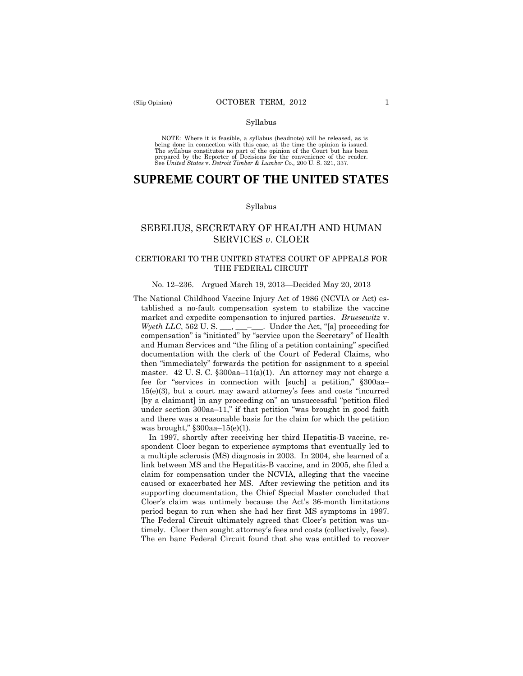#### Syllabus

 NOTE: Where it is feasible, a syllabus (headnote) will be released, as is being done in connection with this case, at the time the opinion is issued. The syllabus constitutes no part of the opinion of the Court but has been<br>prepared by the Reporter of Decisions for the convenience of the reader.<br>See United States v. Detroit Timber & Lumber Co., 200 U.S. 321, 337.

# **SUPREME COURT OF THE UNITED STATES**

### Syllabus

# SEBELIUS, SECRETARY OF HEALTH AND HUMAN SERVICES *v*. CLOER

### CERTIORARI TO THE UNITED STATES COURT OF APPEALS FOR THE FEDERAL CIRCUIT

#### No. 12–236. Argued March 19, 2013—Decided May 20, 2013

The National Childhood Vaccine Injury Act of 1986 (NCVIA or Act) established a no-fault compensation system to stabilize the vaccine market and expedite compensation to injured parties. *Bruesewitz* v. *Wyeth LLC*, 562 U. S. \_\_\_, \_\_\_-\_\_\_. Under the Act, "[a] proceeding for compensation" is "initiated" by "service upon the Secretary" of Health and Human Services and "the filing of a petition containing" specified documentation with the clerk of the Court of Federal Claims, who then "immediately" forwards the petition for assignment to a special master. 42 U. S. C. §300aa–11(a)(1). An attorney may not charge a fee for "services in connection with [such] a petition," §300aa– 15(e)(3), but a court may award attorney's fees and costs "incurred [by a claimant] in any proceeding on" an unsuccessful "petition filed under section 300aa–11," if that petition "was brought in good faith and there was a reasonable basis for the claim for which the petition was brought," §300aa–15(e)(1).

In 1997, shortly after receiving her third Hepatitis-B vaccine, respondent Cloer began to experience symptoms that eventually led to a multiple sclerosis (MS) diagnosis in 2003. In 2004, she learned of a link between MS and the Hepatitis-B vaccine, and in 2005, she filed a claim for compensation under the NCVIA, alleging that the vaccine caused or exacerbated her MS. After reviewing the petition and its supporting documentation, the Chief Special Master concluded that Cloer's claim was untimely because the Act's 36-month limitations period began to run when she had her first MS symptoms in 1997. The Federal Circuit ultimately agreed that Cloer's petition was untimely. Cloer then sought attorney's fees and costs (collectively, fees). The en banc Federal Circuit found that she was entitled to recover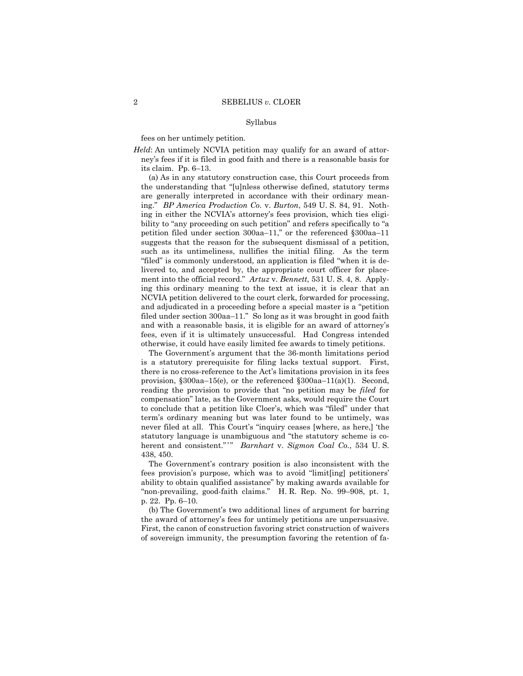#### Syllabus

fees on her untimely petition.

 *Held*: An untimely NCVIA petition may qualify for an award of attorney's fees if it is filed in good faith and there is a reasonable basis for its claim. Pp. 6–13.

 ment into the official record." *Artuz* v. *Bennett*, 531 U. S. 4, 8. Apply-(a) As in any statutory construction case, this Court proceeds from the understanding that "[u]nless otherwise defined, statutory terms are generally interpreted in accordance with their ordinary meaning." *BP America Production Co.* v. *Burton*, 549 U. S. 84, 91. Nothing in either the NCVIA's attorney's fees provision, which ties eligibility to "any proceeding on such petition" and refers specifically to "a petition filed under section 300aa–11," or the referenced §300aa–11 suggests that the reason for the subsequent dismissal of a petition, such as its untimeliness, nullifies the initial filing. As the term "filed" is commonly understood, an application is filed "when it is delivered to, and accepted by, the appropriate court officer for placeing this ordinary meaning to the text at issue, it is clear that an NCVIA petition delivered to the court clerk, forwarded for processing, and adjudicated in a proceeding before a special master is a "petition filed under section 300aa–11." So long as it was brought in good faith and with a reasonable basis, it is eligible for an award of attorney's fees, even if it is ultimately unsuccessful. Had Congress intended otherwise, it could have easily limited fee awards to timely petitions.

herent and consistent."" *Barnhart* v. *Sigmon Coal Co.*, 534 U.S. The Government's argument that the 36-month limitations period is a statutory prerequisite for filing lacks textual support. First, there is no cross-reference to the Act's limitations provision in its fees provision, §300aa–15(e), or the referenced §300aa–11(a)(1). Second, reading the provision to provide that "no petition may be *filed* for compensation" late, as the Government asks, would require the Court to conclude that a petition like Cloer's, which was "filed" under that term's ordinary meaning but was later found to be untimely, was never filed at all. This Court's "inquiry ceases [where, as here,] 'the statutory language is unambiguous and "the statutory scheme is co-438, 450.

The Government's contrary position is also inconsistent with the fees provision's purpose, which was to avoid "limit[ing] petitioners' ability to obtain qualified assistance" by making awards available for "non-prevailing, good-faith claims." H. R. Rep. No. 99–908, pt. 1, p. 22. Pp. 6–10.

(b) The Government's two additional lines of argument for barring the award of attorney's fees for untimely petitions are unpersuasive. First, the canon of construction favoring strict construction of waivers of sovereign immunity, the presumption favoring the retention of fa-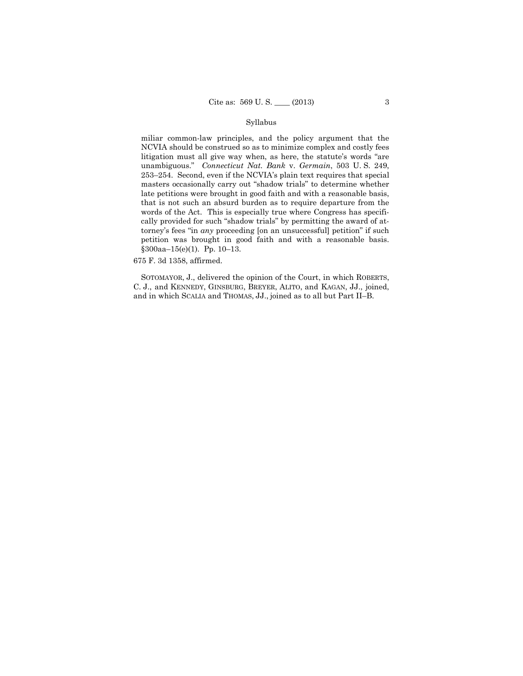### Syllabus

 late petitions were brought in good faith and with a reasonable basis, miliar common-law principles, and the policy argument that the NCVIA should be construed so as to minimize complex and costly fees litigation must all give way when, as here, the statute's words "are unambiguous." *Connecticut Nat. Bank* v. *Germain*, 503 U. S. 249, 253–254. Second, even if the NCVIA's plain text requires that special masters occasionally carry out "shadow trials" to determine whether that is not such an absurd burden as to require departure from the words of the Act. This is especially true where Congress has specifically provided for such "shadow trials" by permitting the award of attorney's fees "in *any* proceeding [on an unsuccessful] petition" if such petition was brought in good faith and with a reasonable basis. §300aa–15(e)(1). Pp. 10–13.

675 F. 3d 1358, affirmed.

 C. J., and KENNEDY, GINSBURG, BREYER, ALITO, and KAGAN, JJ., joined, and in which SCALIA and THOMAS, JJ., joined as to all but Part II–B. SOTOMAYOR, J., delivered the opinion of the Court, in which ROBERTS,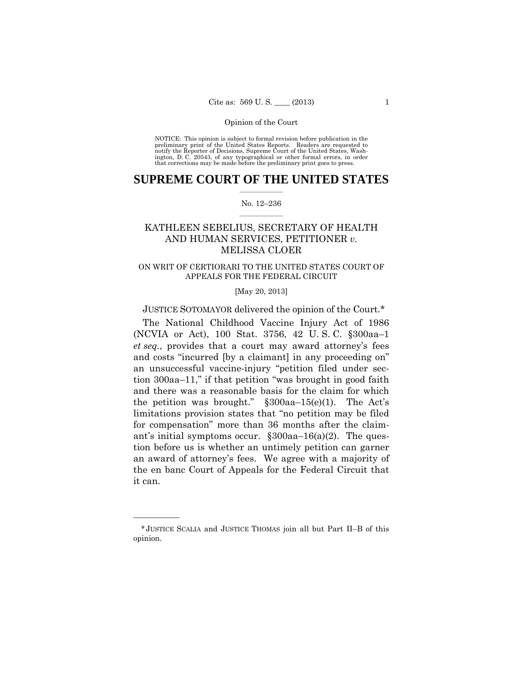preliminary print of the United States Reports. Readers are requested to notify the Reporter of Decisions, Supreme Court of the United States, Wash- ington, D. C. 20543, of any typographical or other formal errors, in order that corrections may be made before the preliminary print goes to press. NOTICE: This opinion is subject to formal revision before publication in the

### $\frac{1}{2}$  ,  $\frac{1}{2}$  ,  $\frac{1}{2}$  ,  $\frac{1}{2}$  ,  $\frac{1}{2}$  ,  $\frac{1}{2}$  ,  $\frac{1}{2}$ **SUPREME COURT OF THE UNITED STATES**

### $\frac{1}{2}$  ,  $\frac{1}{2}$  ,  $\frac{1}{2}$  ,  $\frac{1}{2}$  ,  $\frac{1}{2}$  ,  $\frac{1}{2}$ No. 12–236

# KATHLEEN SEBELIUS, SECRETARY OF HEALTH AND HUMAN SERVICES, PETITIONER *v.* MELISSA CLOER

### ON WRIT OF CERTIORARI TO THE UNITED STATES COURT OF APPEALS FOR THE FEDERAL CIRCUIT

[May 20, 2013]

JUSTICE SOTOMAYOR delivered the opinion of the Court.\*

The National Childhood Vaccine Injury Act of 1986 (NCVIA or Act), 100 Stat. 3756, 42 U. S. C. §300aa–1 *et seq.*, provides that a court may award attorney's fees and costs "incurred [by a claimant] in any proceeding on" an unsuccessful vaccine-injury "petition filed under section 300aa–11," if that petition "was brought in good faith and there was a reasonable basis for the claim for which the petition was brought." §300aa–15(e)(1). The Act's limitations provision states that "no petition may be filed for compensation" more than 36 months after the claimant's initial symptoms occur.  $\S 300aa-16(a)(2)$ . The question before us is whether an untimely petition can garner an award of attorney's fees. We agree with a majority of the en banc Court of Appeals for the Federal Circuit that it can.

<sup>\*</sup> JUSTICE SCALIA and JUSTICE THOMAS join all but Part II–B of this opinion.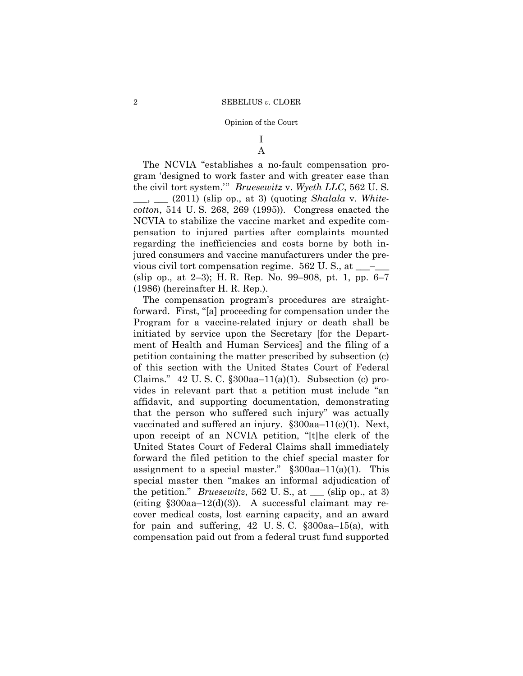## I A

The NCVIA "establishes a no-fault compensation program 'designed to work faster and with greater ease than the civil tort system.'" *Bruesewitz* v. *Wyeth LLC*, 562 U. S. \_\_\_, \_\_\_ (2011) (slip op., at 3) (quoting *Shalala* v. *Whitecotton*, 514 U. S. 268, 269 (1995)). Congress enacted the NCVIA to stabilize the vaccine market and expedite compensation to injured parties after complaints mounted regarding the inefficiencies and costs borne by both injured consumers and vaccine manufacturers under the previous civil tort compensation regime.  $562$  U. S., at  $\_\_\_\_\_$ (slip op., at 2–3); H. R. Rep. No. 99–908, pt. 1, pp. 6–7 (1986) (hereinafter H. R. Rep.).

The compensation program's procedures are straightforward. First, "[a] proceeding for compensation under the Program for a vaccine-related injury or death shall be initiated by service upon the Secretary [for the Department of Health and Human Services] and the filing of a petition containing the matter prescribed by subsection (c) of this section with the United States Court of Federal Claims." 42 U.S.C.  $\S 300aa-11(a)(1)$ . Subsection (c) provides in relevant part that a petition must include "an affidavit, and supporting documentation, demonstrating that the person who suffered such injury" was actually vaccinated and suffered an injury. §300aa–11(c)(1). Next, upon receipt of an NCVIA petition, "[t]he clerk of the United States Court of Federal Claims shall immediately forward the filed petition to the chief special master for assignment to a special master."  $\S 300$ aa–11(a)(1). This special master then "makes an informal adjudication of the petition." *Bruesewitz*, 562 U. S., at \_\_\_ (slip op., at 3) (citing  $$300aa-12(d)(3)$ ). A successful claimant may recover medical costs, lost earning capacity, and an award for pain and suffering,  $42 \text{ U.S. C. }$   $\S 300$ aa-15(a), with compensation paid out from a federal trust fund supported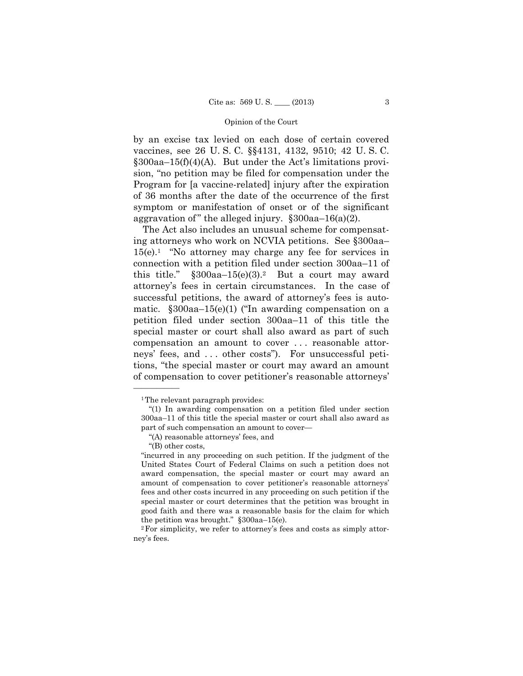by an excise tax levied on each dose of certain covered vaccines, see 26 U. S. C. §§4131, 4132, 9510; 42 U. S. C. §300aa–15(f)(4)(A). But under the Act's limitations provision, "no petition may be filed for compensation under the Program for [a vaccine-related] injury after the expiration of 36 months after the date of the occurrence of the first symptom or manifestation of onset or of the significant aggravation of " the alleged injury.  $\S 300$ aa–16(a)(2).

 matic. §300aa–15(e)(1) ("In awarding compensation on a The Act also includes an unusual scheme for compensating attorneys who work on NCVIA petitions. See §300aa–  $15(e)$ .<sup>1</sup> "No attorney may charge any fee for services in connection with a petition filed under section 300aa–11 of this title."  $\S300$ aa-15(e)(3).<sup>2</sup> But a court may award attorney's fees in certain circumstances. In the case of successful petitions, the award of attorney's fees is autopetition filed under section 300aa–11 of this title the special master or court shall also award as part of such compensation an amount to cover . . . reasonable attorneys' fees, and . . . other costs"). For unsuccessful petitions, "the special master or court may award an amount of compensation to cover petitioner's reasonable attorneys'

<sup>1</sup>The relevant paragraph provides:

<sup>&</sup>quot;(1) In awarding compensation on a petition filed under section 300aa–11 of this title the special master or court shall also award as part of such compensation an amount to cover—

<sup>&</sup>quot;(A) reasonable attorneys' fees, and

<sup>&</sup>quot;(B) other costs,

<sup>&</sup>quot;incurred in any proceeding on such petition. If the judgment of the United States Court of Federal Claims on such a petition does not award compensation, the special master or court may award an amount of compensation to cover petitioner's reasonable attorneys' fees and other costs incurred in any proceeding on such petition if the special master or court determines that the petition was brought in good faith and there was a reasonable basis for the claim for which the petition was brought." §300aa–15(e).

<sup>2</sup>For simplicity, we refer to attorney's fees and costs as simply attorney's fees.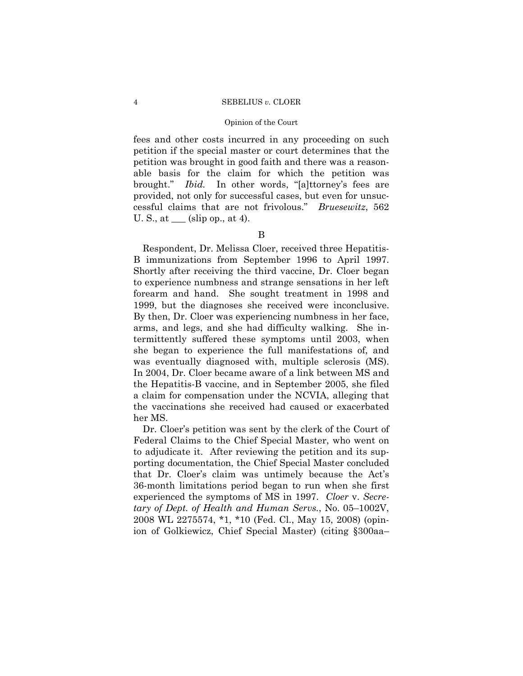### Opinion of the Court

fees and other costs incurred in any proceeding on such petition if the special master or court determines that the petition was brought in good faith and there was a reasonable basis for the claim for which the petition was brought." *Ibid.* In other words, "[a]ttorney's fees are provided, not only for successful cases, but even for unsuccessful claims that are not frivolous." *Bruesewitz*, 562 U. S., at  $\_\_\_$  (slip op., at 4).

# B

 1999, but the diagnoses she received were inconclusive. Respondent, Dr. Melissa Cloer, received three Hepatitis-B immunizations from September 1996 to April 1997. Shortly after receiving the third vaccine, Dr. Cloer began to experience numbness and strange sensations in her left forearm and hand. She sought treatment in 1998 and By then, Dr. Cloer was experiencing numbness in her face, arms, and legs, and she had difficulty walking. She intermittently suffered these symptoms until 2003, when she began to experience the full manifestations of, and was eventually diagnosed with, multiple sclerosis (MS). In 2004, Dr. Cloer became aware of a link between MS and the Hepatitis-B vaccine, and in September 2005, she filed a claim for compensation under the NCVIA, alleging that the vaccinations she received had caused or exacerbated her MS.

Dr. Cloer's petition was sent by the clerk of the Court of Federal Claims to the Chief Special Master, who went on to adjudicate it. After reviewing the petition and its supporting documentation, the Chief Special Master concluded that Dr. Cloer's claim was untimely because the Act's 36-month limitations period began to run when she first experienced the symptoms of MS in 1997. *Cloer* v. *Secretary of Dept. of Health and Human Servs.*, No. 05–1002V, 2008 WL 2275574, \*1, \*10 (Fed. Cl., May 15, 2008) (opinion of Golkiewicz, Chief Special Master) (citing §300aa–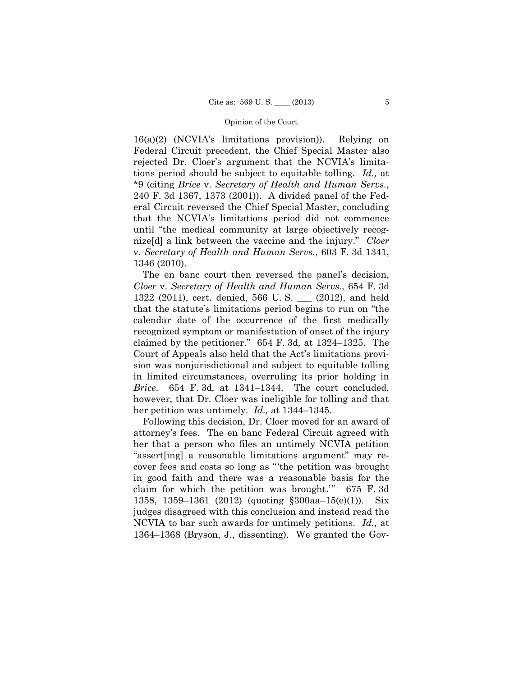16(a)(2) (NCVIA's limitations provision)). Relying on Federal Circuit precedent, the Chief Special Master also rejected Dr. Cloer's argument that the NCVIA's limitations period should be subject to equitable tolling. *Id.,* at \*9 (citing *Brice* v. *Secretary of Health and Human Servs.*, 240 F. 3d 1367, 1373 (2001)). A divided panel of the Federal Circuit reversed the Chief Special Master, concluding that the NCVIA's limitations period did not commence until "the medical community at large objectively recognize[d] a link between the vaccine and the injury." *Cloer*  v. *Secretary of Health and Human Servs.*, 603 F. 3d 1341, 1346 (2010).

The en banc court then reversed the panel's decision, *Cloer* v. *Secretary of Health and Human Servs.*, 654 F. 3d 1322 (2011), cert. denied, 566 U. S. \_\_\_ (2012), and held that the statute's limitations period begins to run on "the calendar date of the occurrence of the first medically recognized symptom or manifestation of onset of the injury claimed by the petitioner." 654 F. 3d*,* at 1324–1325. The Court of Appeals also held that the Act's limitations provision was nonjurisdictional and subject to equitable tolling in limited circumstances, overruling its prior holding in *Brice*. 654 F. 3d*,* at 1341–1344. The court concluded, however, that Dr. Cloer was ineligible for tolling and that her petition was untimely. *Id.,* at 1344–1345.

Following this decision, Dr. Cloer moved for an award of attorney's fees. The en banc Federal Circuit agreed with her that a person who files an untimely NCVIA petition "assert[ing] a reasonable limitations argument" may recover fees and costs so long as "'the petition was brought in good faith and there was a reasonable basis for the claim for which the petition was brought.'" 675 F. 3d 1358, 1359–1361 (2012) (quoting §300aa–15(e)(1)). Six judges disagreed with this conclusion and instead read the NCVIA to bar such awards for untimely petitions. *Id.,* at 1364–1368 (Bryson, J., dissenting). We granted the Gov-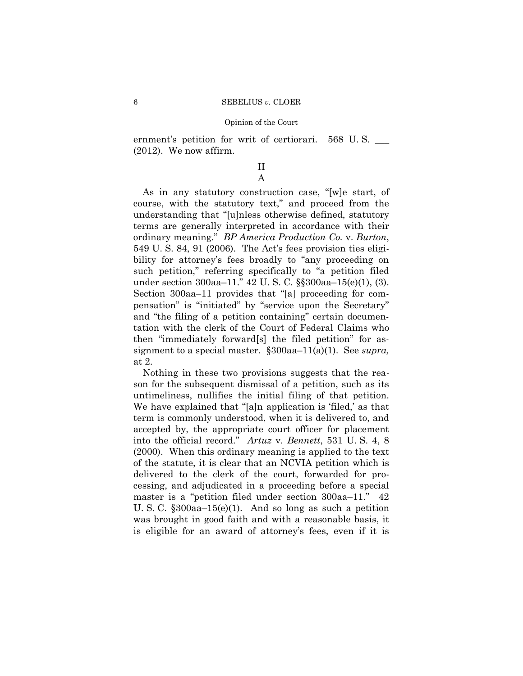ernment's petition for writ of certiorari. 568 U.S. (2012). We now affirm.

# II A

As in any statutory construction case, "[w]e start, of course, with the statutory text," and proceed from the understanding that "[u]nless otherwise defined, statutory terms are generally interpreted in accordance with their ordinary meaning." *BP America Production Co.* v. *Burton*, 549 U. S. 84, 91 (2006). The Act's fees provision ties eligibility for attorney's fees broadly to "any proceeding on such petition," referring specifically to "a petition filed under section 300aa–11." 42 U. S. C. §§300aa–15(e)(1), (3). Section 300aa–11 provides that "[a] proceeding for compensation" is "initiated" by "service upon the Secretary" and "the filing of a petition containing" certain documentation with the clerk of the Court of Federal Claims who then "immediately forward[s] the filed petition" for assignment to a special master. §300aa–11(a)(1). See *supra,* at 2.

Nothing in these two provisions suggests that the reason for the subsequent dismissal of a petition, such as its untimeliness, nullifies the initial filing of that petition. We have explained that "[a]n application is 'filed,' as that term is commonly understood, when it is delivered to, and accepted by, the appropriate court officer for placement into the official record." *Artuz* v. *Bennett*, 531 U. S. 4, 8 (2000). When this ordinary meaning is applied to the text of the statute, it is clear that an NCVIA petition which is delivered to the clerk of the court, forwarded for processing, and adjudicated in a proceeding before a special master is a "petition filed under section 300aa–11." 42 U. S. C. §300aa–15(e)(1). And so long as such a petition was brought in good faith and with a reasonable basis, it is eligible for an award of attorney's fees, even if it is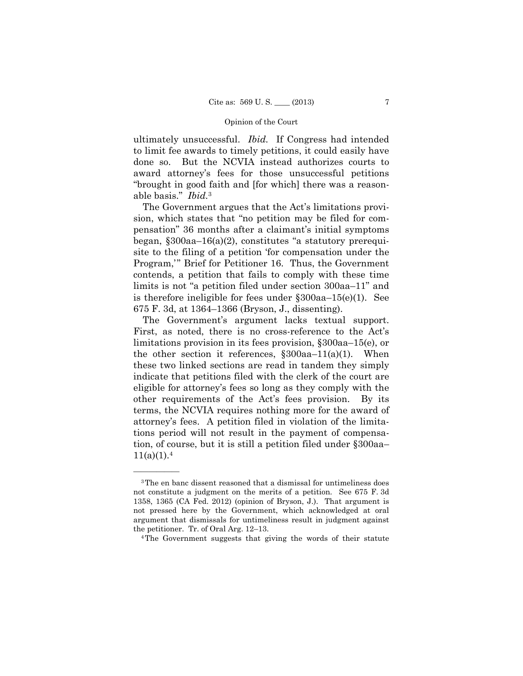ultimately unsuccessful. *Ibid.* If Congress had intended to limit fee awards to timely petitions, it could easily have done so. But the NCVIA instead authorizes courts to award attorney's fees for those unsuccessful petitions "brought in good faith and [for which] there was a reasonable basis." *Ibid.*<sup>3</sup>

The Government argues that the Act's limitations provision, which states that "no petition may be filed for compensation" 36 months after a claimant's initial symptoms began, §300aa–16(a)(2), constitutes "a statutory prerequisite to the filing of a petition 'for compensation under the Program,'" Brief for Petitioner 16. Thus, the Government contends, a petition that fails to comply with these time limits is not "a petition filed under section 300aa–11" and is therefore ineligible for fees under §300aa–15(e)(1). See 675 F. 3d, at 1364–1366 (Bryson, J., dissenting).

The Government's argument lacks textual support. First, as noted, there is no cross-reference to the Act's limitations provision in its fees provision, §300aa–15(e), or the other section it references,  $\S 300aa - 11(a)(1)$ . When these two linked sections are read in tandem they simply indicate that petitions filed with the clerk of the court are eligible for attorney's fees so long as they comply with the other requirements of the Act's fees provision. By its terms, the NCVIA requires nothing more for the award of attorney's fees. A petition filed in violation of the limitations period will not result in the payment of compensation, of course, but it is still a petition filed under §300aa–  $11(a)(1).4$ 

<sup>3</sup>The en banc dissent reasoned that a dismissal for untimeliness does not constitute a judgment on the merits of a petition. See 675 F. 3d 1358, 1365 (CA Fed. 2012) (opinion of Bryson, J.). That argument is not pressed here by the Government, which acknowledged at oral argument that dismissals for untimeliness result in judgment against the petitioner. Tr. of Oral Arg.  $12-13$ .<br><sup>4</sup>The Government suggests that giving the words of their statute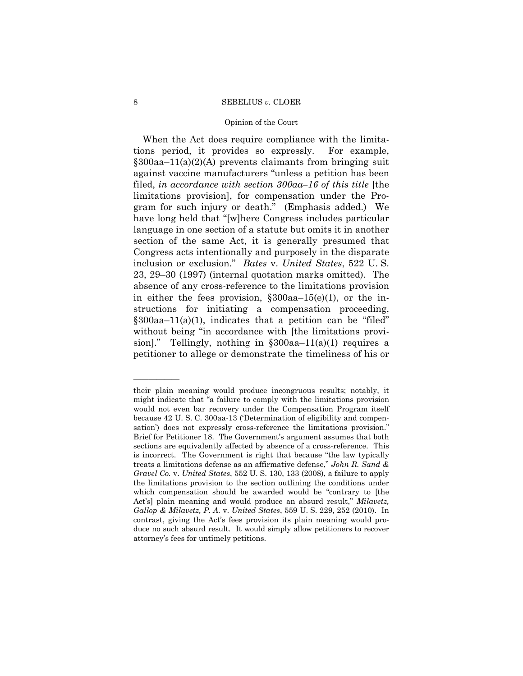### Opinion of the Court

 inclusion or exclusion." *Bates* v. *United States*, 522 U. S. When the Act does require compliance with the limitations period, it provides so expressly. For example, §300aa–11(a)(2)(A) prevents claimants from bringing suit against vaccine manufacturers "unless a petition has been filed, *in accordance with section 300aa–16 of this title* [the limitations provision], for compensation under the Program for such injury or death." (Emphasis added.) We have long held that "[w]here Congress includes particular language in one section of a statute but omits it in another section of the same Act, it is generally presumed that Congress acts intentionally and purposely in the disparate 23, 29–30 (1997) (internal quotation marks omitted). The absence of any cross-reference to the limitations provision in either the fees provision,  $\S 300aa-15(e)(1)$ , or the instructions for initiating a compensation proceeding, §300aa–11(a)(1), indicates that a petition can be "filed" without being "in accordance with [the limitations provision]." Tellingly, nothing in  $\S 300aa-11(a)(1)$  requires a petitioner to allege or demonstrate the timeliness of his or

 treats a limitations defense as an affirmative defense," *John R. Sand &*  duce no such absurd result. It would simply allow petitioners to recover their plain meaning would produce incongruous results; notably, it might indicate that "a failure to comply with the limitations provision would not even bar recovery under the Compensation Program itself because 42 U. S. C. 300aa-13 ('Determination of eligibility and compensation') does not expressly cross-reference the limitations provision." Brief for Petitioner 18. The Government's argument assumes that both sections are equivalently affected by absence of a cross-reference. This is incorrect. The Government is right that because "the law typically *Gravel Co.* v. *United States*, 552 U. S. 130, 133 (2008), a failure to apply the limitations provision to the section outlining the conditions under which compensation should be awarded would be "contrary to [the Act's] plain meaning and would produce an absurd result," *Milavetz, Gallop & Milavetz, P. A.* v. *United States*, 559 U. S. 229, 252 (2010). In contrast, giving the Act's fees provision its plain meaning would proattorney's fees for untimely petitions.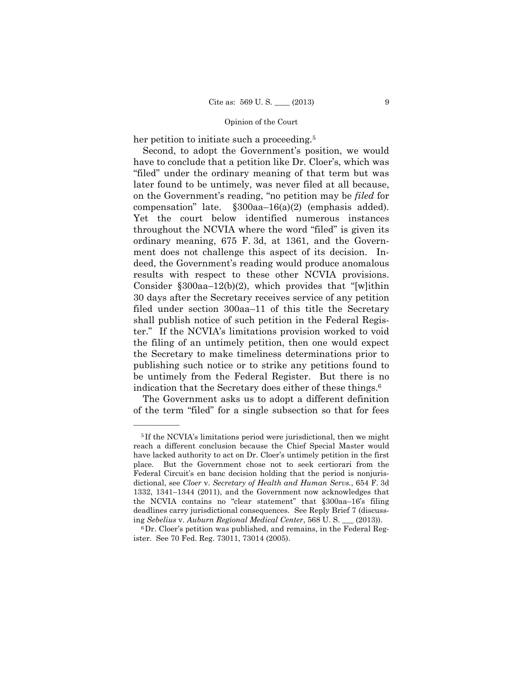her petition to initiate such a proceeding.<sup>5</sup>

Second, to adopt the Government's position, we would have to conclude that a petition like Dr. Cloer's, which was "filed" under the ordinary meaning of that term but was later found to be untimely, was never filed at all because, on the Government's reading, "no petition may be *filed* for compensation" late. §300aa–16(a)(2) (emphasis added). Yet the court below identified numerous instances throughout the NCVIA where the word "filed" is given its ordinary meaning, 675 F. 3d, at 1361, and the Government does not challenge this aspect of its decision. Indeed, the Government's reading would produce anomalous results with respect to these other NCVIA provisions. Consider  $\S 300$ aa–12(b)(2), which provides that "[w]ithin 30 days after the Secretary receives service of any petition filed under section 300aa–11 of this title the Secretary shall publish notice of such petition in the Federal Register." If the NCVIA's limitations provision worked to void the filing of an untimely petition, then one would expect the Secretary to make timeliness determinations prior to publishing such notice or to strike any petitions found to be untimely from the Federal Register. But there is no indication that the Secretary does either of these things.6

The Government asks us to adopt a different definition of the term "filed" for a single subsection so that for fees

<sup>5</sup> If the NCVIA's limitations period were jurisdictional, then we might reach a different conclusion because the Chief Special Master would have lacked authority to act on Dr. Cloer's untimely petition in the first place. But the Government chose not to seek certiorari from the Federal Circuit's en banc decision holding that the period is nonjurisdictional, see *Cloer* v. *Secretary of Health and Human Servs.*, 654 F. 3d 1332, 1341–1344 (2011), and the Government now acknowledges that the NCVIA contains no "clear statement" that §300aa–16's filing deadlines carry jurisdictional consequences. See Reply Brief 7 (discussing *Sebelius* v. *Auburn Regional Medical Center*, 568 U. S. \_\_\_ (2013)).

<sup>6</sup>Dr. Cloer's petition was published, and remains, in the Federal Register. See 70 Fed. Reg. 73011, 73014 (2005).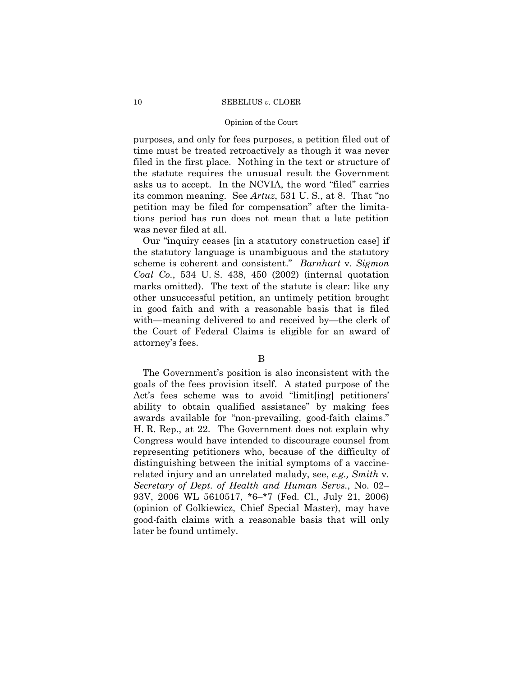### Opinion of the Court

purposes, and only for fees purposes, a petition filed out of time must be treated retroactively as though it was never filed in the first place. Nothing in the text or structure of the statute requires the unusual result the Government asks us to accept. In the NCVIA, the word "filed" carries its common meaning. See *Artuz*, 531 U. S., at 8. That "no petition may be filed for compensation" after the limitations period has run does not mean that a late petition was never filed at all.

Our "inquiry ceases [in a statutory construction case] if the statutory language is unambiguous and the statutory scheme is coherent and consistent." *Barnhart* v. *Sigmon Coal Co.*, 534 U. S. 438, 450 (2002) (internal quotation marks omitted). The text of the statute is clear: like any other unsuccessful petition, an untimely petition brought in good faith and with a reasonable basis that is filed with—meaning delivered to and received by—the clerk of the Court of Federal Claims is eligible for an award of attorney's fees.

### B

The Government's position is also inconsistent with the goals of the fees provision itself. A stated purpose of the Act's fees scheme was to avoid "limit[ing] petitioners' ability to obtain qualified assistance" by making fees awards available for "non-prevailing, good-faith claims." H. R. Rep., at 22. The Government does not explain why Congress would have intended to discourage counsel from representing petitioners who, because of the difficulty of distinguishing between the initial symptoms of a vaccinerelated injury and an unrelated malady, see, *e.g., Smith* v. *Secretary of Dept. of Health and Human Servs.*, No. 02– 93V, 2006 WL 5610517, \*6–\*7 (Fed. Cl., July 21, 2006) (opinion of Golkiewicz, Chief Special Master), may have good-faith claims with a reasonable basis that will only later be found untimely.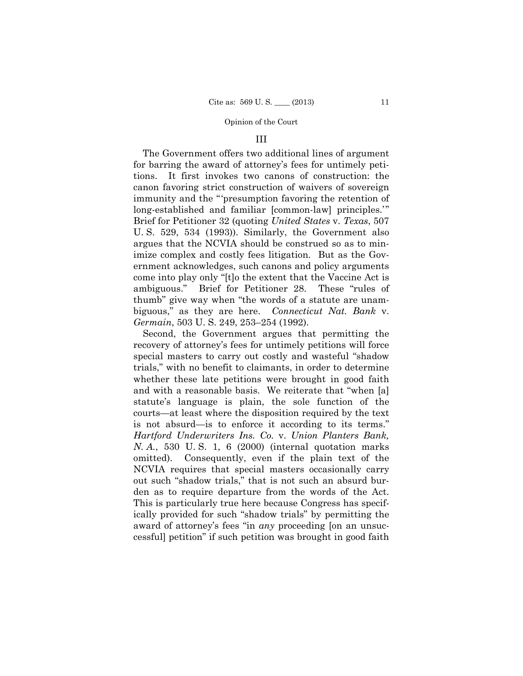### III

The Government offers two additional lines of argument for barring the award of attorney's fees for untimely petitions. It first invokes two canons of construction: the canon favoring strict construction of waivers of sovereign immunity and the "'presumption favoring the retention of long-established and familiar [common-law] principles." Brief for Petitioner 32 (quoting *United States* v. *Texas*, 507 U. S. 529, 534 (1993)). Similarly, the Government also argues that the NCVIA should be construed so as to minimize complex and costly fees litigation. But as the Government acknowledges, such canons and policy arguments come into play only "[t]o the extent that the Vaccine Act is ambiguous." Brief for Petitioner 28. These "rules of thumb" give way when "the words of a statute are unambiguous," as they are here. *Connecticut Nat. Bank* v. *Germain*, 503 U. S. 249, 253–254 (1992).

Second, the Government argues that permitting the recovery of attorney's fees for untimely petitions will force special masters to carry out costly and wasteful "shadow trials," with no benefit to claimants, in order to determine whether these late petitions were brought in good faith and with a reasonable basis. We reiterate that "when [a] statute's language is plain, the sole function of the courts—at least where the disposition required by the text is not absurd—is to enforce it according to its terms." *Hartford Underwriters Ins. Co.* v. *Union Planters Bank, N. A.*, 530 U. S. 1, 6 (2000) (internal quotation marks omitted). Consequently, even if the plain text of the NCVIA requires that special masters occasionally carry out such "shadow trials," that is not such an absurd burden as to require departure from the words of the Act. This is particularly true here because Congress has specifically provided for such "shadow trials" by permitting the award of attorney's fees "in *any* proceeding [on an unsuccessful] petition" if such petition was brought in good faith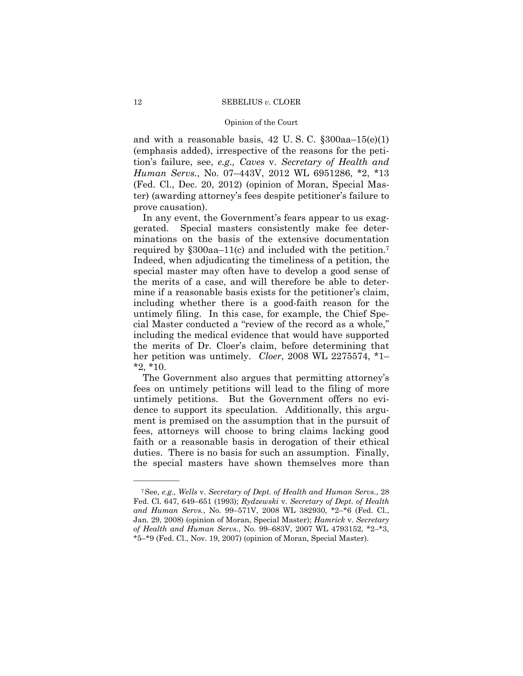### Opinion of the Court

and with a reasonable basis,  $42 \text{ U.S. C. }$   $\S 300$ aa-15(e)(1) (emphasis added), irrespective of the reasons for the petition's failure, see, *e.g., Caves* v. *Secretary of Health and Human Servs.*, No. 07–443V, 2012 WL 6951286, \*2, \*13 (Fed. Cl., Dec. 20, 2012) (opinion of Moran, Special Master) (awarding attorney's fees despite petitioner's failure to prove causation).

 required by §300aa–11(c) and included with the petition.7 In any event, the Government's fears appear to us exaggerated. Special masters consistently make fee determinations on the basis of the extensive documentation Indeed, when adjudicating the timeliness of a petition, the special master may often have to develop a good sense of the merits of a case, and will therefore be able to determine if a reasonable basis exists for the petitioner's claim, including whether there is a good-faith reason for the untimely filing. In this case, for example, the Chief Special Master conducted a "review of the record as a whole," including the medical evidence that would have supported the merits of Dr. Cloer's claim, before determining that her petition was untimely. *Cloer*, 2008 WL 2275574, \*1–  $*2, *10.$ 

The Government also argues that permitting attorney's fees on untimely petitions will lead to the filing of more untimely petitions. But the Government offers no evidence to support its speculation. Additionally, this argument is premised on the assumption that in the pursuit of fees, attorneys will choose to bring claims lacking good faith or a reasonable basis in derogation of their ethical duties. There is no basis for such an assumption. Finally, the special masters have shown themselves more than

<sup>7</sup>See, *e.g., Wells* v. *Secretary of Dept. of Health and Human Servs.*, 28 Fed. Cl. 647, 649–651 (1993); *Rydzewski* v. *Secretary of Dept. of Health and Human Servs.*, No. 99–571V, 2008 WL 382930, \*2–\*6 (Fed. Cl., Jan. 29, 2008) (opinion of Moran, Special Master); *Hamrick* v. *Secretary of Health and Human Servs.*, No. 99–683V, 2007 WL 4793152, \*2–\*3, \*5–\*9 (Fed. Cl., Nov. 19, 2007) (opinion of Moran, Special Master).